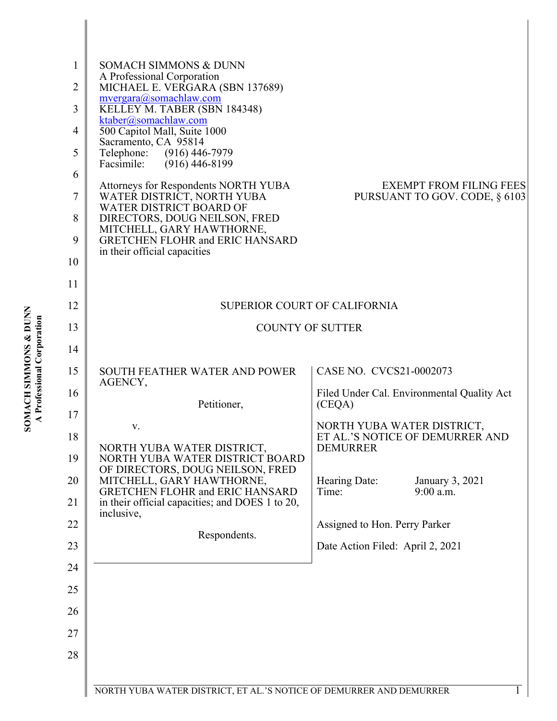| <b>F</b>           |          |
|--------------------|----------|
|                    | ř        |
|                    | היה<br>י |
| $\sum_{i=1}^{n}$   |          |
| MN<br>S            | í<br>Ξ   |
| E                  |          |
| F<br>₹             |          |
|                    |          |
| $\frac{1}{2}$<br>ì |          |
|                    |          |

| 1<br>2<br>3<br>4<br>5<br>6<br>7<br>8<br>9<br>10 | <b>SOMACH SIMMONS &amp; DUNN</b><br>A Professional Corporation<br>MICHAEL E. VERGARA (SBN 137689)<br>mvergara@somachlaw.com<br>KELLEY M. TABER (SBN 184348)<br>ktaber@somachlaw.com<br>500 Capitol Mall, Suite 1000<br>Sacramento, CA 95814<br>Telephone: (916) 446-7979<br>$(916)$ 446-8199<br>Facsimile:<br>Attorneys for Respondents NORTH YUBA<br>WATER DISTRICT, NORTH YUBA<br>WATER DISTRICT BOARD OF<br>DIRECTORS, DOUG NEILSON, FRED<br>MITCHELL, GARY HAWTHORNE,<br><b>GRETCHEN FLOHR and ERIC HANSARD</b><br>in their official capacities | <b>EXEMPT FROM FILING FEES</b><br>PURSUANT TO GOV. CODE, § 6103 |
|-------------------------------------------------|-----------------------------------------------------------------------------------------------------------------------------------------------------------------------------------------------------------------------------------------------------------------------------------------------------------------------------------------------------------------------------------------------------------------------------------------------------------------------------------------------------------------------------------------------------|-----------------------------------------------------------------|
| 11                                              |                                                                                                                                                                                                                                                                                                                                                                                                                                                                                                                                                     |                                                                 |
| 12                                              | <b>SUPERIOR COURT OF CALIFORNIA</b>                                                                                                                                                                                                                                                                                                                                                                                                                                                                                                                 |                                                                 |
| 13                                              | <b>COUNTY OF SUTTER</b>                                                                                                                                                                                                                                                                                                                                                                                                                                                                                                                             |                                                                 |
| 14                                              |                                                                                                                                                                                                                                                                                                                                                                                                                                                                                                                                                     |                                                                 |
| 15                                              | SOUTH FEATHER WATER AND POWER<br>AGENCY,                                                                                                                                                                                                                                                                                                                                                                                                                                                                                                            | CASE NO. CVCS21-0002073                                         |
| 16                                              | Petitioner,                                                                                                                                                                                                                                                                                                                                                                                                                                                                                                                                         | Filed Under Cal. Environmental Quality Act<br>(CEQA)            |
| 17                                              |                                                                                                                                                                                                                                                                                                                                                                                                                                                                                                                                                     | NORTH YUBA WATER DISTRICT,                                      |
| 18<br>19                                        | NORTH YUBA WATER DISTRICT,<br>NORTH YUBA WATER DISTRICT BOARD                                                                                                                                                                                                                                                                                                                                                                                                                                                                                       | ET AL.'S NOTICE OF DEMURRER AND<br><b>DEMURRER</b>              |
| 20                                              | OF DIRECTORS, DOUG NEILSON, FRED<br>MITCHELL, GARY HAWTHORNE,                                                                                                                                                                                                                                                                                                                                                                                                                                                                                       | Hearing Date:<br>January 3, 2021                                |
| 21                                              | <b>GRETCHEN FLOHR and ERIC HANSARD</b><br>in their official capacities; and DOES 1 to 20,                                                                                                                                                                                                                                                                                                                                                                                                                                                           | 9:00 a.m.<br>Time:                                              |
| 22                                              | inclusive,                                                                                                                                                                                                                                                                                                                                                                                                                                                                                                                                          | Assigned to Hon. Perry Parker                                   |
| 23                                              | Respondents.                                                                                                                                                                                                                                                                                                                                                                                                                                                                                                                                        | Date Action Filed: April 2, 2021                                |
| 24                                              |                                                                                                                                                                                                                                                                                                                                                                                                                                                                                                                                                     |                                                                 |
| 25                                              |                                                                                                                                                                                                                                                                                                                                                                                                                                                                                                                                                     |                                                                 |
| 26                                              |                                                                                                                                                                                                                                                                                                                                                                                                                                                                                                                                                     |                                                                 |
| 27                                              |                                                                                                                                                                                                                                                                                                                                                                                                                                                                                                                                                     |                                                                 |
| 28                                              |                                                                                                                                                                                                                                                                                                                                                                                                                                                                                                                                                     |                                                                 |
|                                                 |                                                                                                                                                                                                                                                                                                                                                                                                                                                                                                                                                     |                                                                 |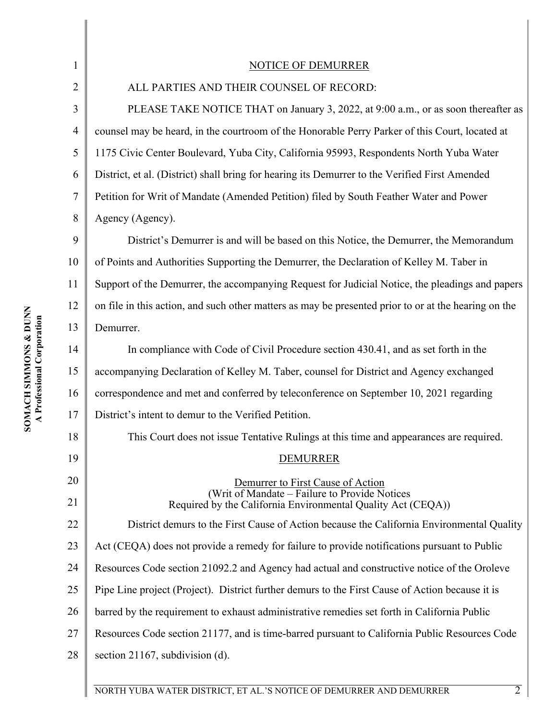| $\mathbf{1}$   | <b>NOTICE OF DEMURRER</b>                                                                                     |  |  |
|----------------|---------------------------------------------------------------------------------------------------------------|--|--|
| 2              | ALL PARTIES AND THEIR COUNSEL OF RECORD:                                                                      |  |  |
| 3              | PLEASE TAKE NOTICE THAT on January 3, 2022, at 9:00 a.m., or as soon thereafter as                            |  |  |
| $\overline{4}$ | counsel may be heard, in the courtroom of the Honorable Perry Parker of this Court, located at                |  |  |
| 5              | 1175 Civic Center Boulevard, Yuba City, California 95993, Respondents North Yuba Water                        |  |  |
| 6              | District, et al. (District) shall bring for hearing its Demurrer to the Verified First Amended                |  |  |
| 7              | Petition for Writ of Mandate (Amended Petition) filed by South Feather Water and Power                        |  |  |
| 8              | Agency (Agency).                                                                                              |  |  |
| 9              | District's Demurrer is and will be based on this Notice, the Demurrer, the Memorandum                         |  |  |
| 10             | of Points and Authorities Supporting the Demurrer, the Declaration of Kelley M. Taber in                      |  |  |
| 11             | Support of the Demurrer, the accompanying Request for Judicial Notice, the pleadings and papers               |  |  |
| 12             | on file in this action, and such other matters as may be presented prior to or at the hearing on the          |  |  |
| 13             | Demurrer.                                                                                                     |  |  |
| 14             | In compliance with Code of Civil Procedure section 430.41, and as set forth in the                            |  |  |
| 15             | accompanying Declaration of Kelley M. Taber, counsel for District and Agency exchanged                        |  |  |
| 16             | correspondence and met and conferred by teleconference on September 10, 2021 regarding                        |  |  |
| 17             | District's intent to demur to the Verified Petition.                                                          |  |  |
| 18             | This Court does not issue Tentative Rulings at this time and appearances are required.                        |  |  |
| 19             | <b>DEMURRER</b>                                                                                               |  |  |
| 20             | Demurrer to First Cause of Action                                                                             |  |  |
| 21             | (Writ of Mandate - Failure to Provide Notices<br>Required by the California Environmental Quality Act (CEQA)) |  |  |
| 22             | District demurs to the First Cause of Action because the California Environmental Quality                     |  |  |
| 23             | Act (CEQA) does not provide a remedy for failure to provide notifications pursuant to Public                  |  |  |
| 24             | Resources Code section 21092.2 and Agency had actual and constructive notice of the Oroleve                   |  |  |
| 25             | Pipe Line project (Project). District further demurs to the First Cause of Action because it is               |  |  |
| 26             | barred by the requirement to exhaust administrative remedies set forth in California Public                   |  |  |
| 27             | Resources Code section 21177, and is time-barred pursuant to California Public Resources Code                 |  |  |
| 28             | section 21167, subdivision $(d)$ .                                                                            |  |  |
|                |                                                                                                               |  |  |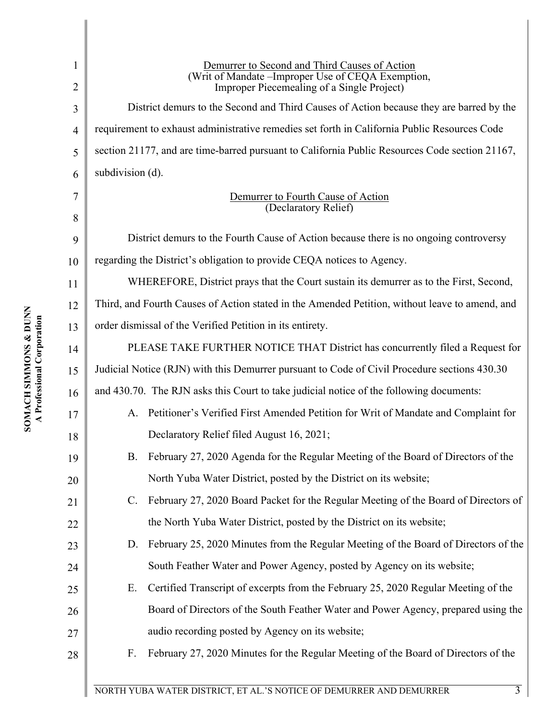| 1              | Demurrer to Second and Third Causes of Action                                                         |  |  |
|----------------|-------------------------------------------------------------------------------------------------------|--|--|
| 2              | (Writ of Mandate -Improper Use of CEQA Exemption,<br>Improper Piecemealing of a Single Project)       |  |  |
| 3              | District demurs to the Second and Third Causes of Action because they are barred by the               |  |  |
| $\overline{4}$ | requirement to exhaust administrative remedies set forth in California Public Resources Code          |  |  |
| 5              | section 21177, and are time-barred pursuant to California Public Resources Code section 21167,        |  |  |
| 6              | subdivision (d).                                                                                      |  |  |
| 7<br>8         | Demurrer to Fourth Cause of Action<br>(Declaratory Relief)                                            |  |  |
| 9              | District demurs to the Fourth Cause of Action because there is no ongoing controversy                 |  |  |
| 10             | regarding the District's obligation to provide CEQA notices to Agency.                                |  |  |
| 11             | WHEREFORE, District prays that the Court sustain its demurrer as to the First, Second,                |  |  |
| 12             | Third, and Fourth Causes of Action stated in the Amended Petition, without leave to amend, and        |  |  |
| 13             | order dismissal of the Verified Petition in its entirety.                                             |  |  |
| 14             | PLEASE TAKE FURTHER NOTICE THAT District has concurrently filed a Request for                         |  |  |
| 15             | Judicial Notice (RJN) with this Demurrer pursuant to Code of Civil Procedure sections 430.30          |  |  |
| 16             | and 430.70. The RJN asks this Court to take judicial notice of the following documents:               |  |  |
| 17             | Petitioner's Verified First Amended Petition for Writ of Mandate and Complaint for<br>A.              |  |  |
| 18             | Declaratory Relief filed August 16, 2021;                                                             |  |  |
| 19             | B. February 27, 2020 Agenda for the Regular Meeting of the Board of Directors of the                  |  |  |
| 20             | North Yuba Water District, posted by the District on its website;                                     |  |  |
| 21             | February 27, 2020 Board Packet for the Regular Meeting of the Board of Directors of<br>$\mathbb{C}$ . |  |  |
| 22             | the North Yuba Water District, posted by the District on its website;                                 |  |  |
| 23             | February 25, 2020 Minutes from the Regular Meeting of the Board of Directors of the<br>D.             |  |  |
| 24             | South Feather Water and Power Agency, posted by Agency on its website;                                |  |  |
| 25             | Certified Transcript of excerpts from the February 25, 2020 Regular Meeting of the<br>Ε.              |  |  |
| 26             | Board of Directors of the South Feather Water and Power Agency, prepared using the                    |  |  |
| 27             | audio recording posted by Agency on its website;                                                      |  |  |
| 28             | February 27, 2020 Minutes for the Regular Meeting of the Board of Directors of the<br>F.              |  |  |
|                |                                                                                                       |  |  |
|                | NORTH YUBA WATER DISTRICT, ET AL.'S NOTICE OF DEMURRER AND DEMURRER<br>$\overline{3}$                 |  |  |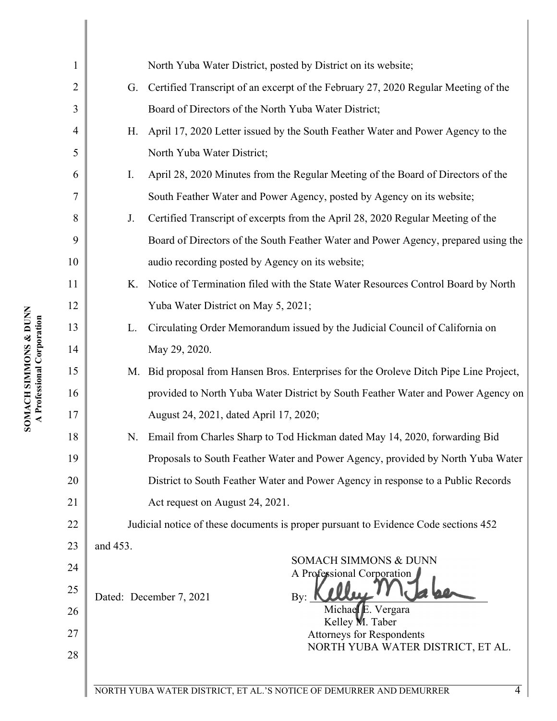| $\mathbf{1}$   |                                                                                     | North Yuba Water District, posted by District on its website;                       |  |  |
|----------------|-------------------------------------------------------------------------------------|-------------------------------------------------------------------------------------|--|--|
| $\overline{2}$ | G.                                                                                  | Certified Transcript of an excerpt of the February 27, 2020 Regular Meeting of the  |  |  |
| 3              | Board of Directors of the North Yuba Water District;                                |                                                                                     |  |  |
| $\overline{4}$ | Η.                                                                                  | April 17, 2020 Letter issued by the South Feather Water and Power Agency to the     |  |  |
| 5              |                                                                                     | North Yuba Water District;                                                          |  |  |
| 6              | I.                                                                                  | April 28, 2020 Minutes from the Regular Meeting of the Board of Directors of the    |  |  |
| 7              |                                                                                     | South Feather Water and Power Agency, posted by Agency on its website;              |  |  |
| 8              | J.                                                                                  | Certified Transcript of excerpts from the April 28, 2020 Regular Meeting of the     |  |  |
| 9              |                                                                                     | Board of Directors of the South Feather Water and Power Agency, prepared using the  |  |  |
| 10             |                                                                                     | audio recording posted by Agency on its website;                                    |  |  |
| 11             | K.                                                                                  | Notice of Termination filed with the State Water Resources Control Board by North   |  |  |
| 12             |                                                                                     | Yuba Water District on May 5, 2021;                                                 |  |  |
| 13             | L.                                                                                  | Circulating Order Memorandum issued by the Judicial Council of California on        |  |  |
| 14             |                                                                                     | May 29, 2020.                                                                       |  |  |
| 15             | M.                                                                                  | Bid proposal from Hansen Bros. Enterprises for the Oroleve Ditch Pipe Line Project, |  |  |
| 16             |                                                                                     | provided to North Yuba Water District by South Feather Water and Power Agency on    |  |  |
| 17             |                                                                                     | August 24, 2021, dated April 17, 2020;                                              |  |  |
| 18             | Email from Charles Sharp to Tod Hickman dated May 14, 2020, forwarding Bid<br>N.    |                                                                                     |  |  |
| 19             |                                                                                     | Proposals to South Feather Water and Power Agency, provided by North Yuba Water     |  |  |
| 20             | District to South Feather Water and Power Agency in response to a Public Records    |                                                                                     |  |  |
| 21             | Act request on August 24, 2021.                                                     |                                                                                     |  |  |
| 22             | Judicial notice of these documents is proper pursuant to Evidence Code sections 452 |                                                                                     |  |  |
| 23             | and 453.                                                                            |                                                                                     |  |  |
| 24             |                                                                                     | SOMACH SIMMONS & DUNN<br>A Professional Corporation                                 |  |  |
| 25             |                                                                                     | Dated: December 7, 2021<br>$\mathbf{B} \mathbf{v}$ :                                |  |  |
| 26             |                                                                                     | Michael E. Vergara<br>Kelley M. Taber                                               |  |  |
| 27             |                                                                                     | <b>Attorneys for Respondents</b>                                                    |  |  |
| 28             |                                                                                     | NORTH YUBA WATER DISTRICT, ET AL.                                                   |  |  |
|                |                                                                                     | NORTH YUBA WATER DISTRICT, ET AL.'S NOTICE OF DEMURRER AND DEMURRER<br>4            |  |  |
|                |                                                                                     |                                                                                     |  |  |

I